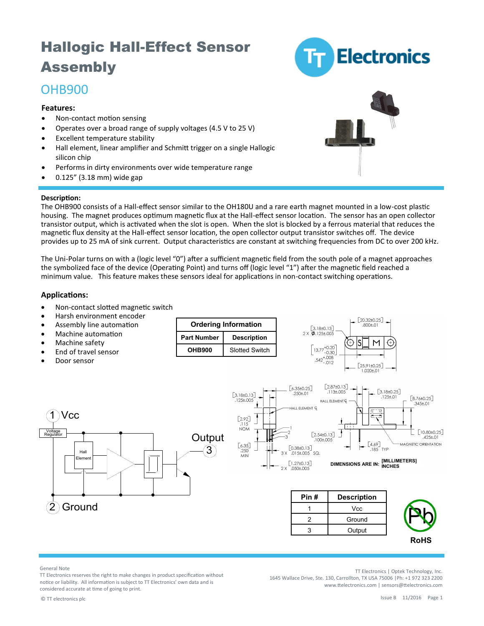# Hallogic Hall-Effect Sensor Assembly

## OHB900

### **Features:**

- Non-contact motion sensing
- Operates over a broad range of supply voltages (4.5 V to 25 V)
- Excellent temperature stability
- Hall element, linear amplifier and Schmitt trigger on a single Hallogic silicon chip
- Performs in dirty environments over wide temperature range
- 0.125" (3.18 mm) wide gap

#### **Description:**

The OHB900 consists of a Hall-effect sensor similar to the OH180U and a rare earth magnet mounted in a low-cost plastic housing. The magnet produces optimum magnetic flux at the Hall-effect sensor location. The sensor has an open collector transistor output, which is activated when the slot is open. When the slot is blocked by a ferrous material that reduces the magnetic flux density at the Hall-effect sensor location, the open collector output transistor switches off. The device provides up to 25 mA of sink current. Output characteristics are constant at switching frequencies from DC to over 200 kHz.

The Uni-Polar turns on with a (logic level "0") after a sufficient magnetic field from the south pole of a magnet approaches the symbolized face of the device (Operating Point) and turns off (logic level "1") after the magnetic field reached a minimum value. This feature makes these sensors ideal for applications in non-contact switching operations.

### **Applications:**

- Non-contact slotted magnetic switch
- Harsh environment encoder
- Assembly line automation
- Machine automation

Hall Eleme

2 Ground

- Machine safety
- End of travel sensor
- 
- Door sensor

Vcc



#### General Note

Voltage Regulator

TT Electronics reserves the right to make changes in product specification without notice or liability. All information is subject to TT Electronics' own data and is considered accurate at time of going to print.

TT Electronics | Optek Technology, Inc. 1645 Wallace Drive, Ste. 130, Carrollton, TX USA 75006 |Ph: +1 972 323 2200 www.ttelectronics.com | sensors@ttelectronics.com

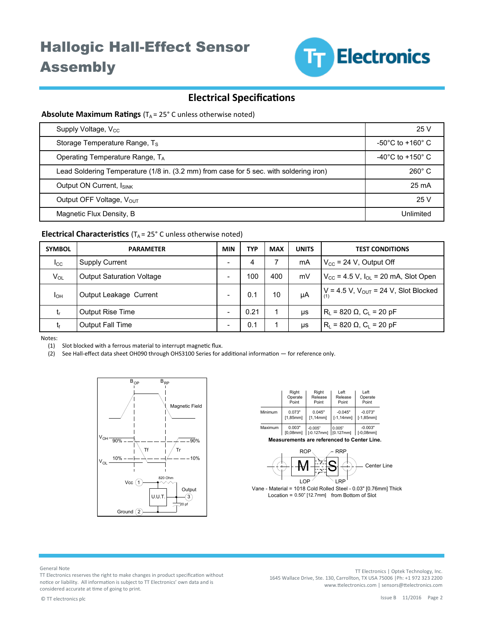

### **Electrical Specifications**

### **Absolute Maximum Ratings** (T<sub>A</sub> = 25° C unless otherwise noted)

| Supply Voltage, V <sub>cc</sub>                                                        | 25 V                                  |
|----------------------------------------------------------------------------------------|---------------------------------------|
| Storage Temperature Range, T <sub>s</sub>                                              | $-50^{\circ}$ C to $+160^{\circ}$ C   |
| Operating Temperature Range, TA                                                        | -40 $^{\circ}$ C to +150 $^{\circ}$ C |
| Lead Soldering Temperature (1/8 in. (3.2 mm) from case for 5 sec. with soldering iron) | $260^\circ$ C                         |
| Output ON Current, ISINK                                                               | 25 mA                                 |
| Output OFF Voltage, V <sub>OUT</sub>                                                   | 25 V                                  |
| Magnetic Flux Density, B                                                               | Unlimited                             |

### **Electrical Characteristics** (T<sub>A</sub> = 25° C unless otherwise noted)

| <b>SYMBOL</b> | <b>PARAMETER</b>                 | <b>MIN</b> | <b>TYP</b> | <b>MAX</b> | <b>UNITS</b> | <b>TEST CONDITIONS</b>                                      |
|---------------|----------------------------------|------------|------------|------------|--------------|-------------------------------------------------------------|
| $I_{\rm CC}$  | <b>Supply Current</b>            | -          | 4          |            | mA           | $V_{\text{CC}}$ = 24 V, Output Off                          |
| $V_{OL}$      | <b>Output Saturation Voltage</b> |            | 100        | 400        | mV           | $V_{\text{CC}}$ = 4.5 V, $I_{\text{OL}}$ = 20 mA, Slot Open |
| <b>I</b> OH   | Output Leakage Current           |            | 0.1        | 10         | uA           | $V = 4.5 V$ , $V_{OUT} = 24 V$ , Slot Blocked               |
| t,            | <b>Output Rise Time</b>          |            | 0.21       |            | μs           | $R_L$ = 820 $\Omega$ , $C_L$ = 20 pF                        |
| t             | <b>Output Fall Time</b>          |            | 0.1        |            | μs           | $R_L$ = 820 $\Omega$ , $C_L$ = 20 pF                        |

Notes:

(1) Slot blocked with a ferrous material to interrupt magnetic flux.

(2) See Hall-effect data sheet OH090 through OHS3100 Series for additional information — for reference only.



|         | Right       | Right        | Left         | Left         |
|---------|-------------|--------------|--------------|--------------|
|         | Operate     | Release      | Release      | Operate      |
|         | Point       | Point        | Point        | Point        |
| Minimum | 0.073"      | 0.045"       | $-0.045"$    | $-0.073"$    |
|         | [1,85mm]    | [1,14mm]     | $[-1, 14mm]$ | $[-1, 85mm]$ |
| Maximum | 0.003"      | $-0.005"$    | 0.005"       | $-0.003"$    |
|         | $[0.08$ mml | $[-0.127mm]$ | [0.127mm]    | $[-0.08$ mml |

**Measurements are referenced to Center Line.**



Vane - Material = 1018 Cold Rolled Steel - 0.03" [0.76mm] Thick  $Location = 0.50" [12.7mm]$  from Bottom of Slot

General Note

TT Electronics reserves the right to make changes in product specification without notice or liability. All information is subject to TT Electronics' own data and is considered accurate at time of going to print.

TT Electronics | Optek Technology, Inc. 1645 Wallace Drive, Ste. 130, Carrollton, TX USA 75006 |Ph: +1 972 323 2200 www.ttelectronics.com | sensors@ttelectronics.com